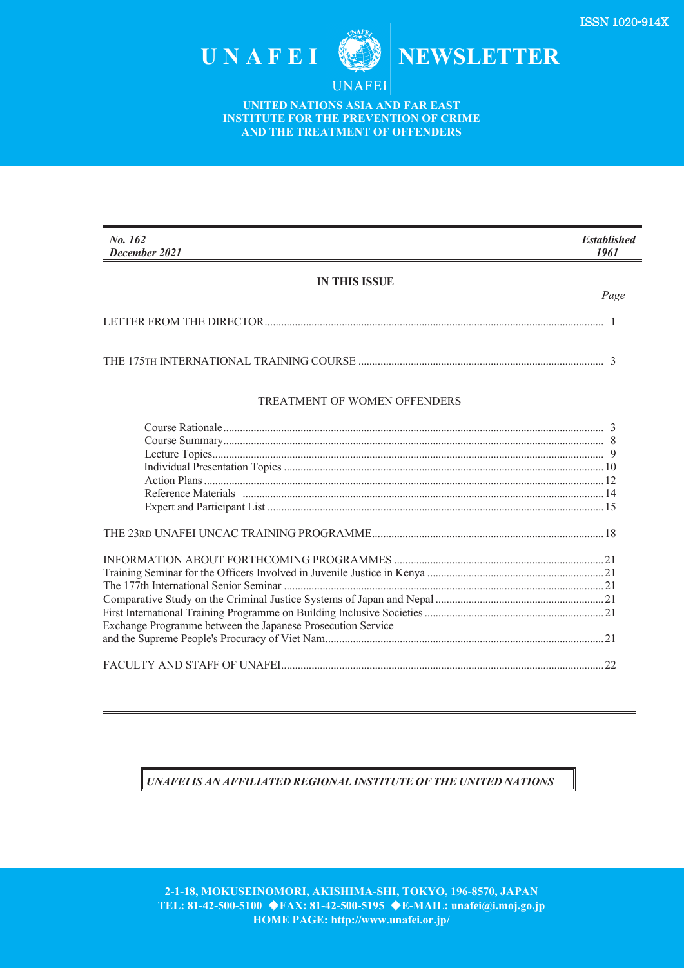

**UNAFEI** 

**UNITED NATIONS ASIA AND FAR EAST INSTITUTE FOR THE PREVENTION OF CRIME AND THE TREATMENT OF OFFENDERS** 

| No. 162<br>December 2021                                    | <b>Established</b><br>1961 |
|-------------------------------------------------------------|----------------------------|
| <b>IN THIS ISSUE</b>                                        |                            |
|                                                             | Page                       |
|                                                             |                            |
|                                                             |                            |
| TREATMENT OF WOMEN OFFENDERS                                |                            |
|                                                             |                            |
|                                                             |                            |
|                                                             |                            |
|                                                             |                            |
|                                                             |                            |
|                                                             |                            |
|                                                             |                            |
|                                                             |                            |
|                                                             |                            |
|                                                             |                            |
|                                                             |                            |
|                                                             |                            |
|                                                             |                            |
| Exchange Programme between the Japanese Prosecution Service |                            |
|                                                             |                            |
|                                                             |                            |
|                                                             | 22                         |
|                                                             |                            |

## *UNAFEIIS AN AFFILIATED REGIONAL INSTITUTE OF THE UNITED NATIONS*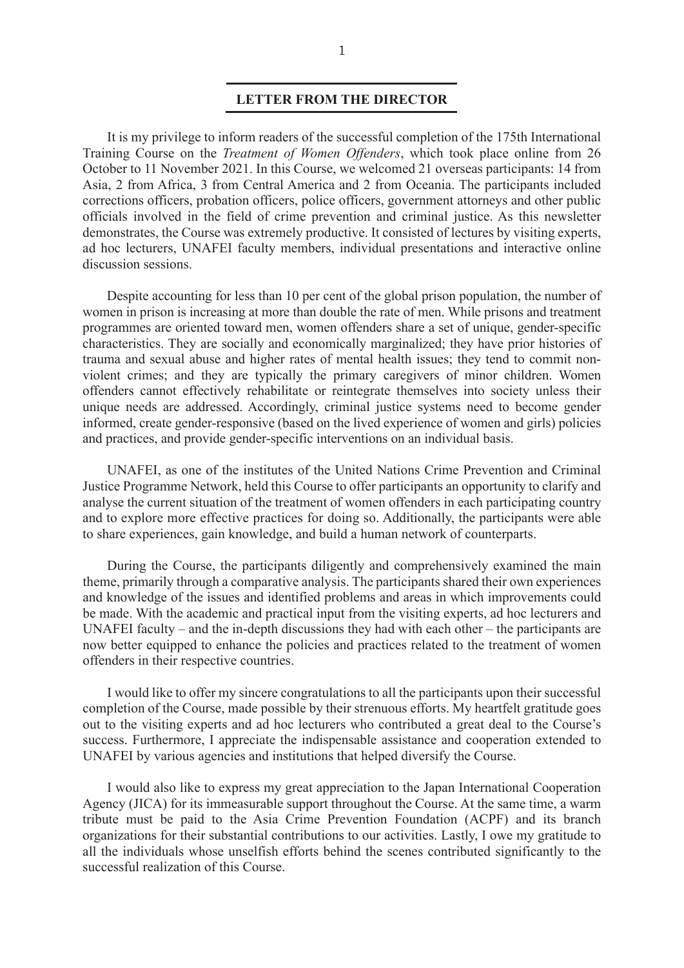## **LETTER FROM THE DIRECTOR**

It is my privilege to inform readers of the successful completion of the 175th International Training Course on the *Treatment of Women Offenders*, which took place online from 26 October to 11 November 2021. In this Course, we welcomed 21 overseas participants: 14 from Asia, 2 from Africa, 3 from Central America and 2 from Oceania. The participants included corrections officers, probation officers, police officers, government attorneys and other public officials involved in the field of crime prevention and criminal justice. As this newsletter demonstrates, the Course was extremely productive. It consisted of lectures by visiting experts, ad hoc lecturers, UNAFEI faculty members, individual presentations and interactive online discussion sessions.

Despite accounting for less than 10 per cent of the global prison population, the number of women in prison is increasing at more than double the rate of men. While prisons and treatment programmes are oriented toward men, women offenders share a set of unique, gender-specific characteristics. They are socially and economically marginalized; they have prior histories of trauma and sexual abuse and higher rates of mental health issues; they tend to commit nonviolent crimes; and they are typically the primary caregivers of minor children. Women offenders cannot effectively rehabilitate or reintegrate themselves into society unless their unique needs are addressed. Accordingly, criminal justice systems need to become gender informed, create gender-responsive (based on the lived experience of women and girls) policies and practices, and provide gender-specific interventions on an individual basis.

UNAFEI, as one of the institutes of the United Nations Crime Prevention and Criminal Justice Programme Network, held this Course to offer participants an opportunity to clarify and analyse the current situation of the treatment of women offenders in each participating country and to explore more effective practices for doing so. Additionally, the participants were able to share experiences, gain knowledge, and build a human network of counterparts.

 During the Course, the participants diligently and comprehensively examined the main theme, primarily through a comparative analysis. The participants shared their own experiences and knowledge of the issues and identified problems and areas in which improvements could be made. With the academic and practical input from the visiting experts, ad hoc lecturers and UNAFEI faculty – and the in-depth discussions they had with each other – the participants are now better equipped to enhance the policies and practices related to the treatment of women offenders in their respective countries.

 I would like to offer my sincere congratulations to all the participants upon their successful completion of the Course, made possible by their strenuous efforts. My heartfelt gratitude goes out to the visiting experts and ad hoc lecturers who contributed a great deal to the Course's success. Furthermore, I appreciate the indispensable assistance and cooperation extended to UNAFEI by various agencies and institutions that helped diversify the Course.

I would also like to express my great appreciation to the Japan International Cooperation Agency (JICA) for its immeasurable support throughout the Course. At the same time, a warm tribute must be paid to the Asia Crime Prevention Foundation (ACPF) and its branch organizations for their substantial contributions to our activities. Lastly, I owe my gratitude to all the individuals whose unselfish efforts behind the scenes contributed significantly to the successful realization of this Course.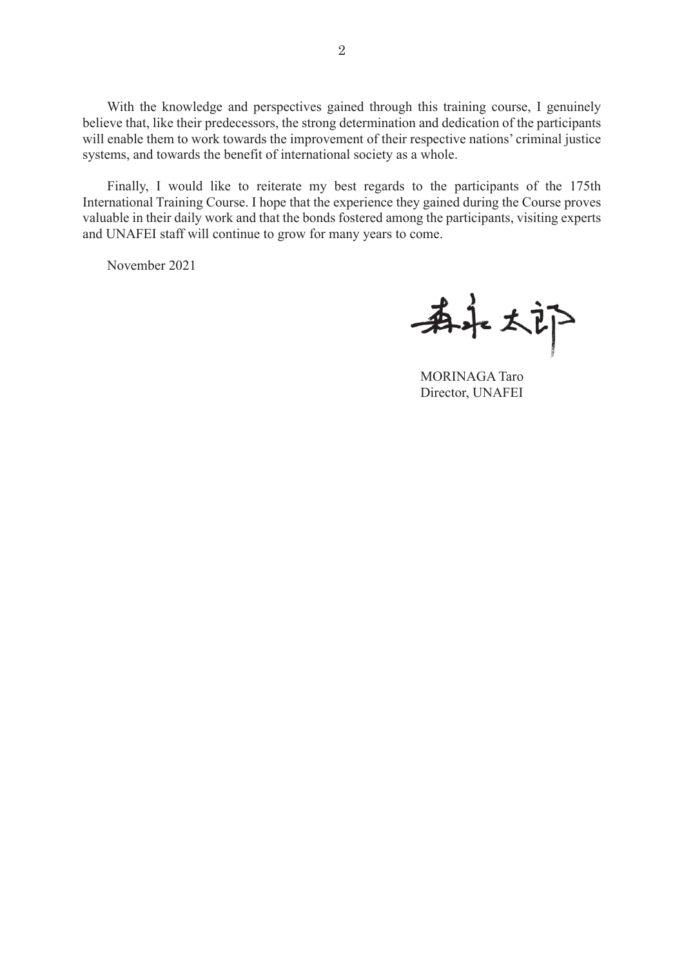With the knowledge and perspectives gained through this training course, I genuinely believe that, like their predecessors, the strong determination and dedication of the participants will enable them to work towards the improvement of their respective nations' criminal justice systems, and towards the benefit of international society as a whole.

Finally, I would like to reiterate my best regards to the participants of the 175th International Training Course. I hope that the experience they gained during the Course proves valuable in their daily work and that the bonds fostered among the participants, visiting experts and UNAFEI staff will continue to grow for many years to come.

November 2021

希永太郎

MORINAGA Taro Director, UNAFEI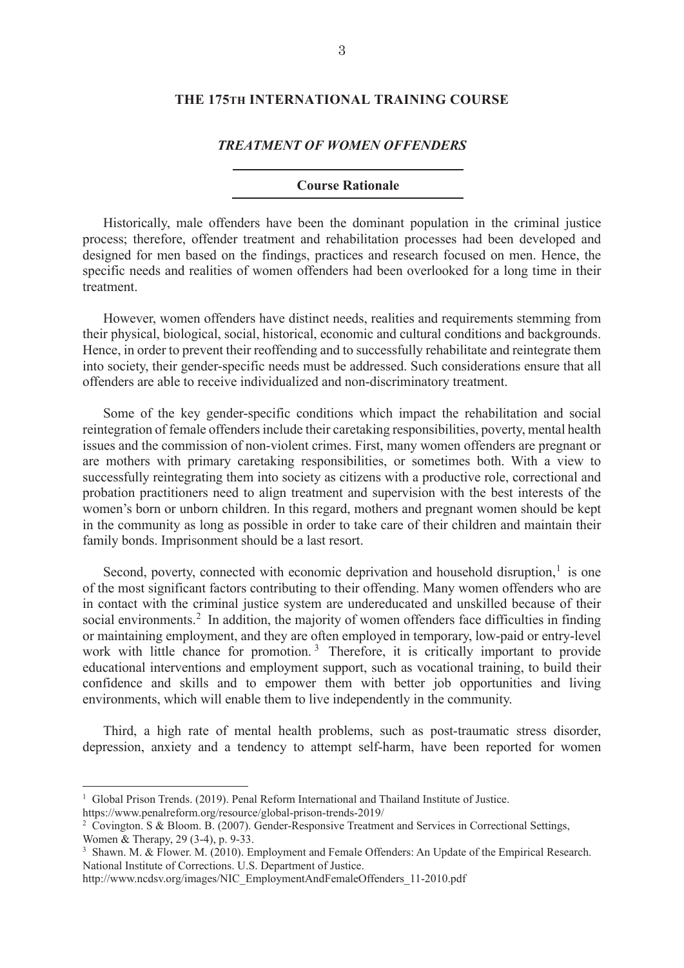## **THE 175TH INTERNATIONAL TRAINING COURSE**

#### *TREATMENT OF WOMEN OFFENDERS*

## **Course Rationale**

Historically, male offenders have been the dominant population in the criminal justice process; therefore, offender treatment and rehabilitation processes had been developed and designed for men based on the findings, practices and research focused on men. Hence, the specific needs and realities of women offenders had been overlooked for a long time in their treatment.

However, women offenders have distinct needs, realities and requirements stemming from their physical, biological, social, historical, economic and cultural conditions and backgrounds. Hence, in order to prevent their reoffending and to successfully rehabilitate and reintegrate them into society, their gender-specific needs must be addressed. Such considerations ensure that all offenders are able to receive individualized and non-discriminatory treatment.

Some of the key gender-specific conditions which impact the rehabilitation and social reintegration of female offenders include their caretaking responsibilities, poverty, mental health issues and the commission of non-violent crimes. First, many women offenders are pregnant or are mothers with primary caretaking responsibilities, or sometimes both. With a view to successfully reintegrating them into society as citizens with a productive role, correctional and probation practitioners need to align treatment and supervision with the best interests of the women's born or unborn children. In this regard, mothers and pregnant women should be kept in the community as long as possible in order to take care of their children and maintain their family bonds. Imprisonment should be a last resort.

Second, poverty, connected with economic deprivation and household disruption,<sup>1</sup> is one of the most significant factors contributing to their offending. Many women offenders who are in contact with the criminal justice system are undereducated and unskilled because of their social environments.<sup>2</sup> In addition, the majority of women offenders face difficulties in finding or maintaining employment, and they are often employed in temporary, low-paid or entry-level work with little chance for promotion.<sup>3</sup> Therefore, it is critically important to provide educational interventions and employment support, such as vocational training, to build their confidence and skills and to empower them with better job opportunities and living environments, which will enable them to live independently in the community.

Third, a high rate of mental health problems, such as post-traumatic stress disorder, depression, anxiety and a tendency to attempt self-harm, have been reported for women

<sup>&</sup>lt;sup>1</sup> Global Prison Trends. (2019). Penal Reform International and Thailand Institute of Justice. https://www.penalreform.org/resource/global-prison-trends-2019/

<sup>&</sup>lt;sup>2</sup> Covington. S & Bloom. B. (2007). Gender-Responsive Treatment and Services in Correctional Settings, Women & Therapy, 29 (3-4), p. 9-33.

<sup>&</sup>lt;sup>3</sup> Shawn, M. & Flower. M. (2010). Employment and Female Offenders: An Update of the Empirical Research. National Institute of Corrections. U.S. Department of Justice.

http://www.ncdsv.org/images/NIC\_EmploymentAndFemaleOffenders\_11-2010.pdf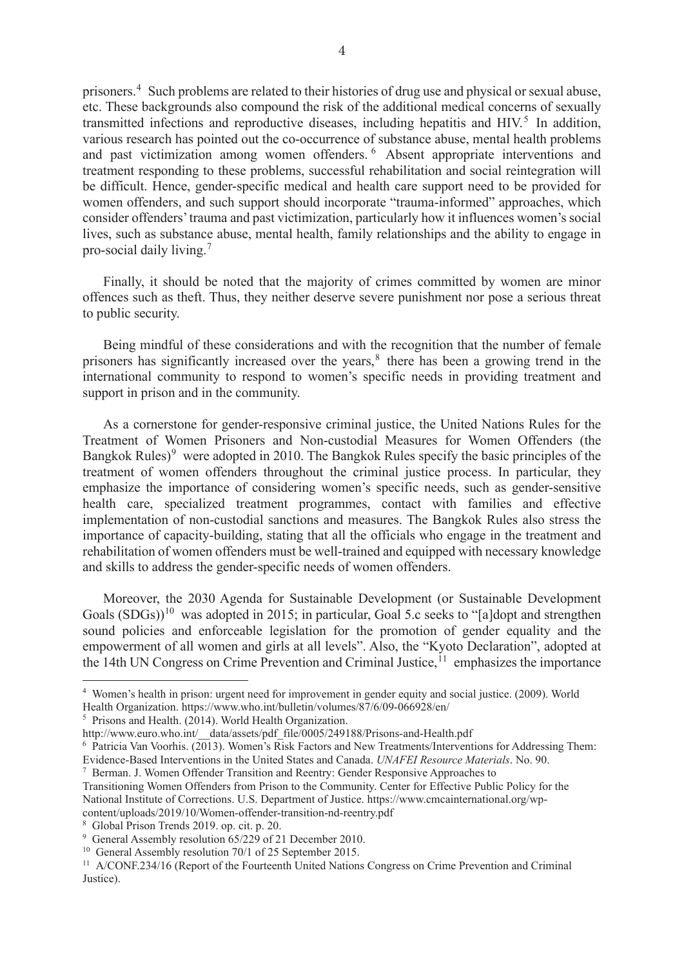prisoners.<sup>4</sup> Such problems are related to their histories of drug use and physical or sexual abuse, etc. These backgrounds also compound the risk of the additional medical concerns of sexually transmitted infections and reproductive diseases, including hepatitis and HIV.<sup>5</sup> In addition, various research has pointed out the co-occurrence of substance abuse, mental health problems and past victimization among women offenders.<sup>6</sup> Absent appropriate interventions and treatment responding to these problems, successful rehabilitation and social reintegration will be difficult. Hence, gender-specific medical and health care support need to be provided for women offenders, and such support should incorporate "trauma-informed" approaches, which consider offenders' trauma and past victimization, particularly how it influences women's social lives, such as substance abuse, mental health, family relationships and the ability to engage in pro-social daily living.<sup>7</sup>

Finally, it should be noted that the majority of crimes committed by women are minor offences such as theft. Thus, they neither deserve severe punishment nor pose a serious threat to public security.

Being mindful of these considerations and with the recognition that the number of female prisoners has significantly increased over the years,<sup>8</sup> there has been a growing trend in the international community to respond to women's specific needs in providing treatment and support in prison and in the community.

As a cornerstone for gender-responsive criminal justice, the United Nations Rules for the Treatment of Women Prisoners and Non-custodial Measures for Women Offenders (the Bangkok Rules)<sup>9</sup> were adopted in 2010. The Bangkok Rules specify the basic principles of the treatment of women offenders throughout the criminal justice process. In particular, they emphasize the importance of considering women's specific needs, such as gender-sensitive health care, specialized treatment programmes, contact with families and effective implementation of non-custodial sanctions and measures. The Bangkok Rules also stress the importance of capacity-building, stating that all the officials who engage in the treatment and rehabilitation of women offenders must be well-trained and equipped with necessary knowledge and skills to address the gender-specific needs of women offenders.

Moreover, the 2030 Agenda for Sustainable Development (or Sustainable Development Goals  $(SDGs)$ <sup>10</sup> was adopted in 2015; in particular, Goal 5.c seeks to "[a]dopt and strengthen sound policies and enforceable legislation for the promotion of gender equality and the empowerment of all women and girls at all levels". Also, the "Kyoto Declaration", adopted at the 14th UN Congress on Crime Prevention and Criminal Justice, <sup>11</sup> emphasizes the importance

<sup>4</sup> Women's health in prison: urgent need for improvement in gender equity and social justice. (2009). World Health Organization. https://www.who.int/bulletin/volumes/87/6/09-066928/en/

<sup>5</sup> Prisons and Health. (2014). World Health Organization.

http://www.euro.who.int/\_\_data/assets/pdf\_file/0005/249188/Prisons-and-Health.pdf

<sup>6</sup> Patricia Van Voorhis. (2013). Women's Risk Factors and New Treatments/Interventions for Addressing Them: Evidence-Based Interventions in the United States and Canada. *UNAFEI Resource Materials*. No. 90.

<sup>7</sup> Berman. J. Women Offender Transition and Reentry: Gender Responsive Approaches to

Transitioning Women Offenders from Prison to the Community. Center for Effective Public Policy for the National Institute of Corrections. U.S. Department of Justice. https://www.cmcainternational.org/wp-<br>content/uploads/2019/10/Women-offender-transition-nd-reentry.pdf

<sup>&</sup>lt;sup>8</sup> Global Prison Trends 2019. op. cit. p. 20.<br><sup>9</sup> General Assembly resolution 65/229 of 21 December 2010. <sup>10</sup> General Assembly resolution 70/1 of 25 September 2015.

<sup>&</sup>lt;sup>11</sup> A/CONF.234/16 (Report of the Fourteenth United Nations Congress on Crime Prevention and Criminal Justice).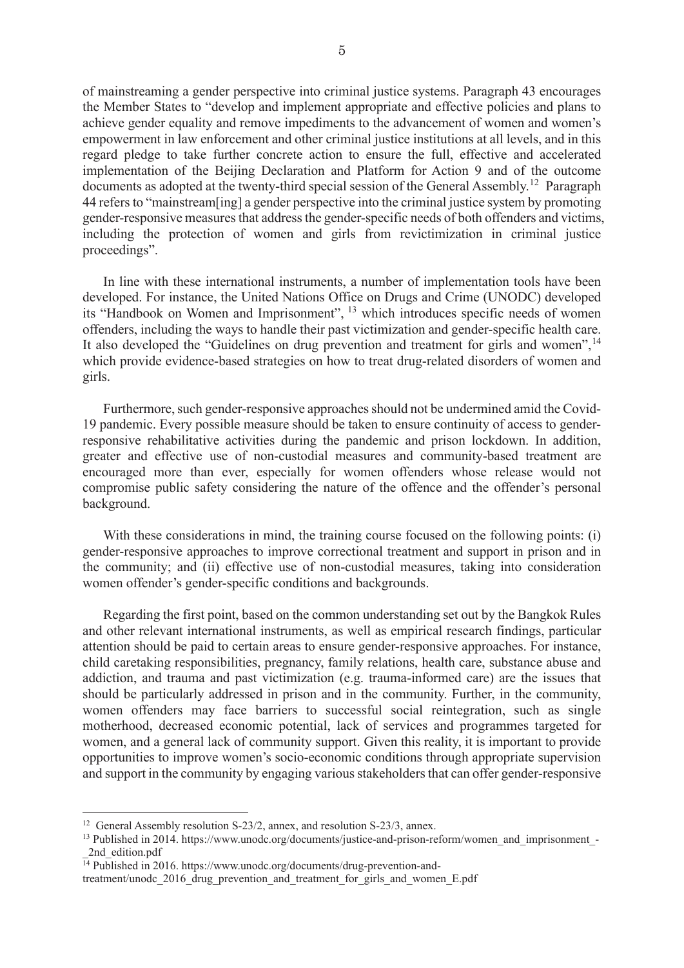of mainstreaming a gender perspective into criminal justice systems. Paragraph 43 encourages the Member States to "develop and implement appropriate and effective policies and plans to achieve gender equality and remove impediments to the advancement of women and women's empowerment in law enforcement and other criminal justice institutions at all levels, and in this regard pledge to take further concrete action to ensure the full, effective and accelerated implementation of the Beijing Declaration and Platform for Action 9 and of the outcome documents as adopted at the twenty-third special session of the General Assembly.<sup>12</sup> Paragraph 44 refers to "mainstream[ing] a gender perspective into the criminal justice system by promoting gender-responsive measures that address the gender-specific needs of both offenders and victims, including the protection of women and girls from revictimization in criminal justice proceedings".

In line with these international instruments, a number of implementation tools have been developed. For instance, the United Nations Office on Drugs and Crime (UNODC) developed its "Handbook on Women and Imprisonment", <sup>13</sup> which introduces specific needs of women offenders, including the ways to handle their past victimization and gender-specific health care. It also developed the "Guidelines on drug prevention and treatment for girls and women",  $14$ which provide evidence-based strategies on how to treat drug-related disorders of women and girls.

Furthermore, such gender-responsive approaches should not be undermined amid the Covid-19 pandemic. Every possible measure should be taken to ensure continuity of access to genderresponsive rehabilitative activities during the pandemic and prison lockdown. In addition, greater and effective use of non-custodial measures and community-based treatment are encouraged more than ever, especially for women offenders whose release would not compromise public safety considering the nature of the offence and the offender's personal background.

With these considerations in mind, the training course focused on the following points: (i) gender-responsive approaches to improve correctional treatment and support in prison and in the community; and (ii) effective use of non-custodial measures, taking into consideration women offender's gender-specific conditions and backgrounds.

Regarding the first point, based on the common understanding set out by the Bangkok Rules and other relevant international instruments, as well as empirical research findings, particular attention should be paid to certain areas to ensure gender-responsive approaches. For instance, child caretaking responsibilities, pregnancy, family relations, health care, substance abuse and addiction, and trauma and past victimization (e.g. trauma-informed care) are the issues that should be particularly addressed in prison and in the community. Further, in the community, women offenders may face barriers to successful social reintegration, such as single motherhood, decreased economic potential, lack of services and programmes targeted for women, and a general lack of community support. Given this reality, it is important to provide opportunities to improve women's socio-economic conditions through appropriate supervision and support in the community by engaging various stakeholders that can offer gender-responsive

<sup>&</sup>lt;sup>12</sup> General Assembly resolution S-23/2, annex, and resolution S-23/3, annex.

<sup>&</sup>lt;sup>13</sup> Published in 2014. https://www.unodc.org/documents/justice-and-prison-reform/women\_and\_imprisonment\_-2nd\_edition.pdf

 $\overline{14}$  Published in 2016. https://www.unodc.org/documents/drug-prevention-and-

treatment/unodc\_2016\_drug\_prevention\_and\_treatment\_for\_girls\_and\_women\_E.pdf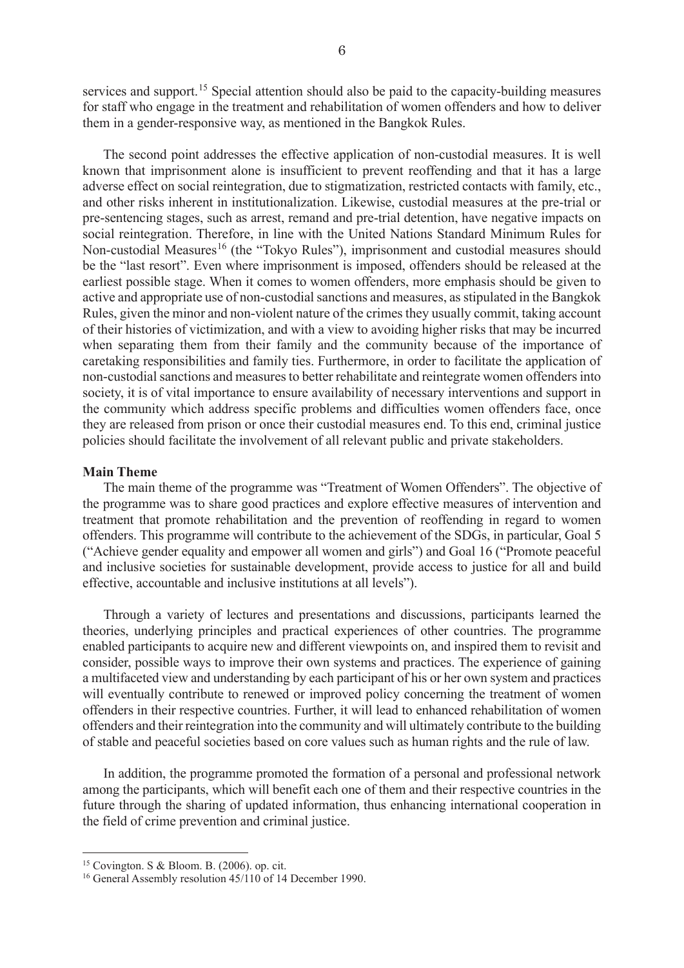services and support.<sup>15</sup> Special attention should also be paid to the capacity-building measures for staff who engage in the treatment and rehabilitation of women offenders and how to deliver them in a gender-responsive way, as mentioned in the Bangkok Rules.

The second point addresses the effective application of non-custodial measures. It is well known that imprisonment alone is insufficient to prevent reoffending and that it has a large adverse effect on social reintegration, due to stigmatization, restricted contacts with family, etc., and other risks inherent in institutionalization. Likewise, custodial measures at the pre-trial or pre-sentencing stages, such as arrest, remand and pre-trial detention, have negative impacts on social reintegration. Therefore, in line with the United Nations Standard Minimum Rules for Non-custodial Measures<sup>16</sup> (the "Tokyo Rules"), imprisonment and custodial measures should be the "last resort". Even where imprisonment is imposed, offenders should be released at the earliest possible stage. When it comes to women offenders, more emphasis should be given to active and appropriate use of non-custodial sanctions and measures, as stipulated in the Bangkok Rules, given the minor and non-violent nature of the crimes they usually commit, taking account of their histories of victimization, and with a view to avoiding higher risks that may be incurred when separating them from their family and the community because of the importance of caretaking responsibilities and family ties. Furthermore, in order to facilitate the application of non-custodial sanctions and measures to better rehabilitate and reintegrate women offenders into society, it is of vital importance to ensure availability of necessary interventions and support in the community which address specific problems and difficulties women offenders face, once they are released from prison or once their custodial measures end. To this end, criminal justice policies should facilitate the involvement of all relevant public and private stakeholders.

#### **Main Theme**

The main theme of the programme was "Treatment of Women Offenders". The objective of the programme was to share good practices and explore effective measures of intervention and treatment that promote rehabilitation and the prevention of reoffending in regard to women offenders. This programme will contribute to the achievement of the SDGs, in particular, Goal 5 ("Achieve gender equality and empower all women and girls") and Goal 16 ("Promote peaceful and inclusive societies for sustainable development, provide access to justice for all and build effective, accountable and inclusive institutions at all levels").

Through a variety of lectures and presentations and discussions, participants learned the theories, underlying principles and practical experiences of other countries. The programme enabled participants to acquire new and different viewpoints on, and inspired them to revisit and consider, possible ways to improve their own systems and practices. The experience of gaining a multifaceted view and understanding by each participant of his or her own system and practices will eventually contribute to renewed or improved policy concerning the treatment of women offenders in their respective countries. Further, it will lead to enhanced rehabilitation of women offenders and their reintegration into the community and will ultimately contribute to the building of stable and peaceful societies based on core values such as human rights and the rule of law.

In addition, the programme promoted the formation of a personal and professional network among the participants, which will benefit each one of them and their respective countries in the future through the sharing of updated information, thus enhancing international cooperation in the field of crime prevention and criminal justice.

<sup>&</sup>lt;sup>15</sup> Covington. S & Bloom. B. (2006). op. cit.<br><sup>16</sup> General Assembly resolution 45/110 of 14 December 1990.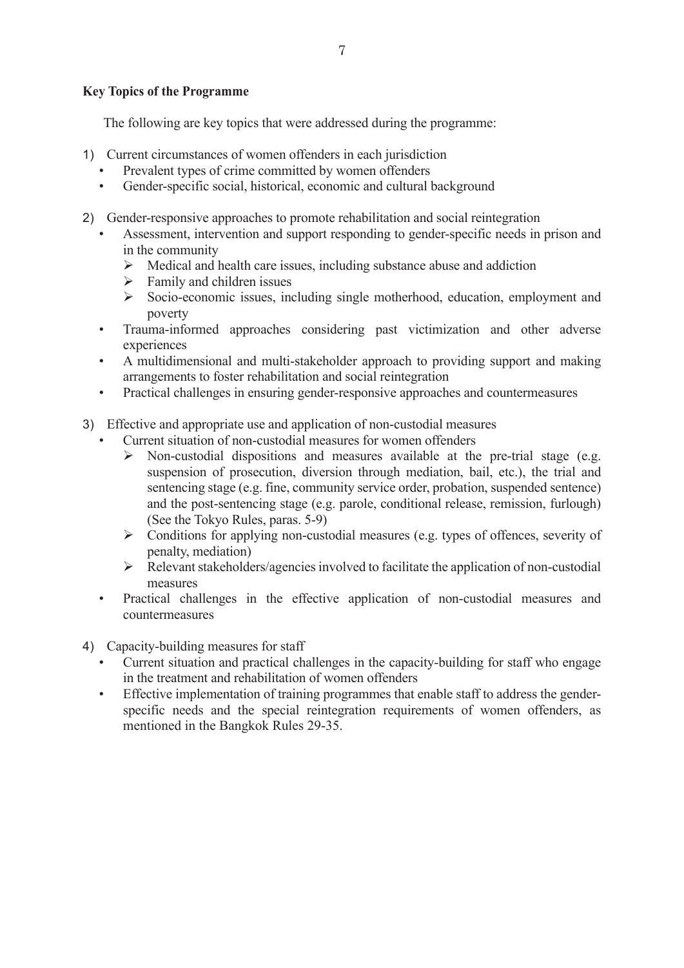# **Key Topics of the Programme**

The following are key topics that were addressed during the programme:

- 1) Current circumstances of women offenders in each jurisdiction
	- Prevalent types of crime committed by women offenders
	- Gender-specific social, historical, economic and cultural background
- 2) Gender-responsive approaches to promote rehabilitation and social reintegration
	- Assessment, intervention and support responding to gender-specific needs in prison and in the community
		- $\triangleright$  Medical and health care issues, including substance abuse and addiction
		- $\triangleright$  Family and children issues
		- $\triangleright$  Socio-economic issues, including single motherhood, education, employment and poverty
	- Trauma-informed approaches considering past victimization and other adverse experiences
	- A multidimensional and multi-stakeholder approach to providing support and making arrangements to foster rehabilitation and social reintegration
	- Practical challenges in ensuring gender-responsive approaches and countermeasures
- 3) Effective and appropriate use and application of non-custodial measures
	- Current situation of non-custodial measures for women offenders
		- $\triangleright$  Non-custodial dispositions and measures available at the pre-trial stage (e.g. suspension of prosecution, diversion through mediation, bail, etc.), the trial and sentencing stage (e.g. fine, community service order, probation, suspended sentence) and the post-sentencing stage (e.g. parole, conditional release, remission, furlough) (See the Tokyo Rules, paras. 5-9)
		- $\triangleright$  Conditions for applying non-custodial measures (e.g. types of offences, severity of penalty, mediation)
		- $\triangleright$  Relevant stakeholders/agencies involved to facilitate the application of non-custodial measures
	- Practical challenges in the effective application of non-custodial measures and countermeasures
- 4) Capacity-building measures for staff
	- Current situation and practical challenges in the capacity-building for staff who engage in the treatment and rehabilitation of women offenders
	- Effective implementation of training programmes that enable staff to address the genderspecific needs and the special reintegration requirements of women offenders, as mentioned in the Bangkok Rules 29-35.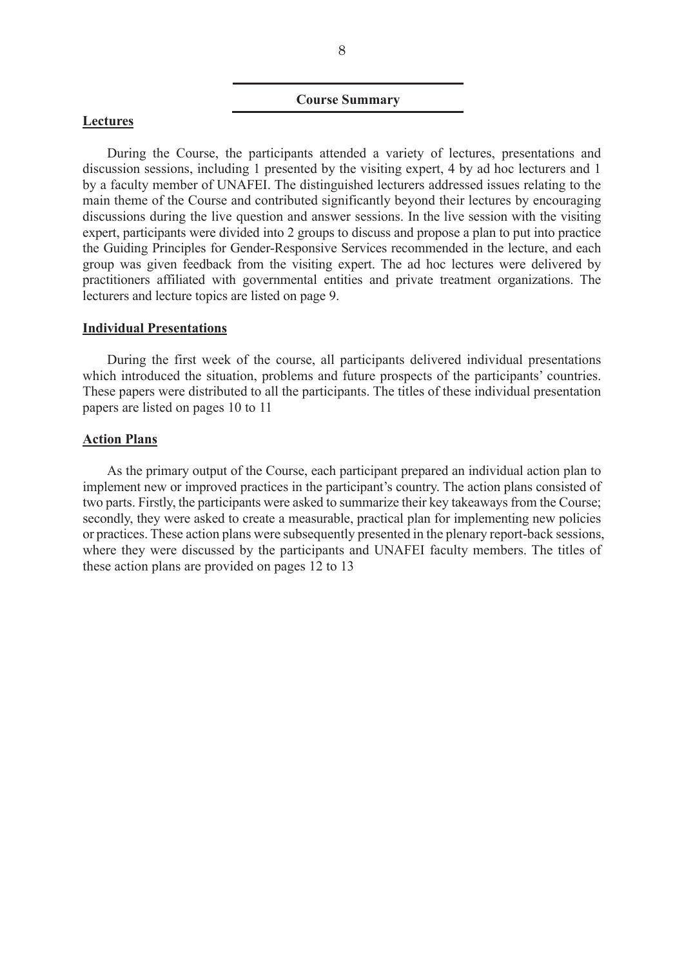#### **Course Summary**

#### **Lectures**

During the Course, the participants attended a variety of lectures, presentations and discussion sessions, including 1 presented by the visiting expert, 4 by ad hoc lecturers and 1 by a faculty member of UNAFEI. The distinguished lecturers addressed issues relating to the main theme of the Course and contributed significantly beyond their lectures by encouraging discussions during the live question and answer sessions. In the live session with the visiting expert, participants were divided into 2 groups to discuss and propose a plan to put into practice the Guiding Principles for Gender-Responsive Services recommended in the lecture, and each group was given feedback from the visiting expert. The ad hoc lectures were delivered by practitioners affiliated with governmental entities and private treatment organizations. The lecturers and lecture topics are listed on page 9.

#### **Individual Presentations**

During the first week of the course, all participants delivered individual presentations which introduced the situation, problems and future prospects of the participants' countries. These papers were distributed to all the participants. The titles of these individual presentation papers are listed on pages 10 to 11

#### **Action Plans**

As the primary output of the Course, each participant prepared an individual action plan to implement new or improved practices in the participant's country. The action plans consisted of two parts. Firstly, the participants were asked to summarize their key takeaways from the Course; secondly, they were asked to create a measurable, practical plan for implementing new policies or practices. These action plans were subsequently presented in the plenary report-back sessions, where they were discussed by the participants and UNAFEI faculty members. The titles of these action plans are provided on pages 12 to 13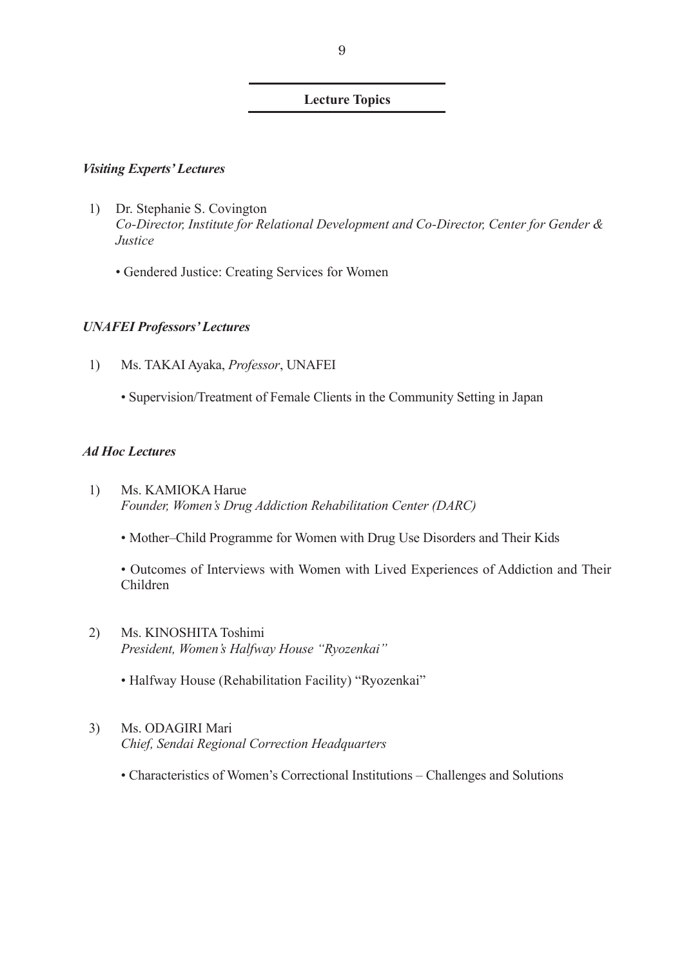## **Lecture Topics**

## *Visiting Experts' Lectures*

- 1) Dr. Stephanie S. Covington *Co-Director, Institute for Relational Development and Co-Director, Center for Gender & Justice* 
	- Gendered Justice: Creating Services for Women

## *UNAFEI Professors' Lectures*

- 1) Ms. TAKAI Ayaka, *Professor*, UNAFEI
	- Supervision/Treatment of Female Clients in the Community Setting in Japan

## *Ad Hoc Lectures*

- 1) Ms. KAMIOKA Harue *Founder, Women's Drug Addiction Rehabilitation Center (DARC)* 
	- Mother–Child Programme for Women with Drug Use Disorders and Their Kids

• Outcomes of Interviews with Women with Lived Experiences of Addiction and Their Children

- 2) Ms. KINOSHITA Toshimi *President, Women's Halfway House "Ryozenkai"* 
	- Halfway House (Rehabilitation Facility) "Ryozenkai"
- 3) Ms. ODAGIRI Mari *Chief, Sendai Regional Correction Headquarters*
	- Characteristics of Women's Correctional Institutions Challenges and Solutions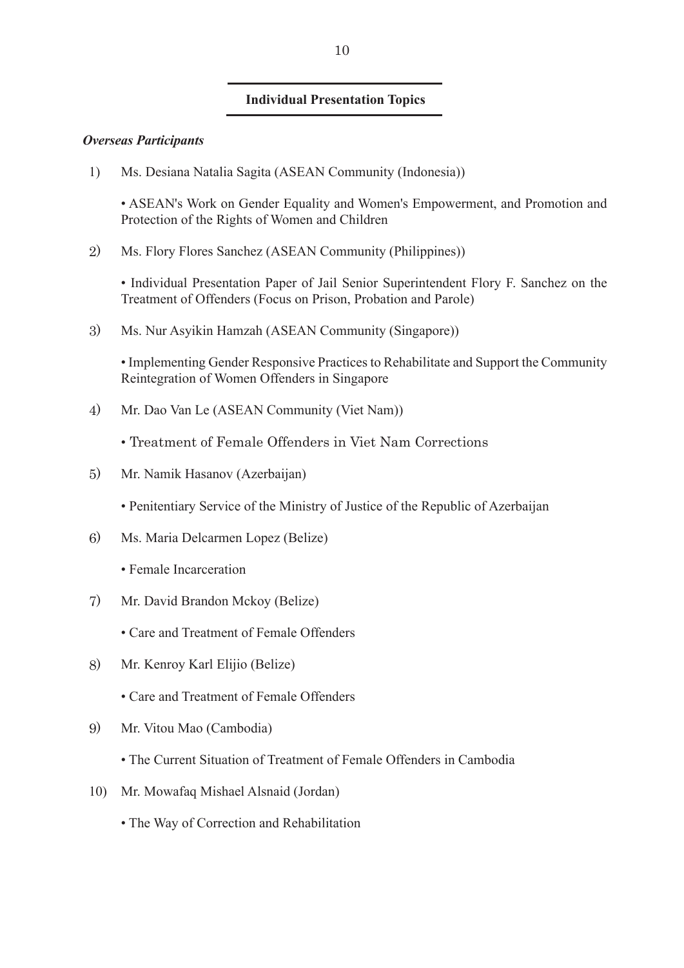## **Individual Presentation Topics**

## *Overseas Participants*

1) Ms. Desiana Natalia Sagita (ASEAN Community (Indonesia))

• ASEAN's Work on Gender Equality and Women's Empowerment, and Promotion and Protection of the Rights of Women and Children

2) Ms. Flory Flores Sanchez (ASEAN Community (Philippines))

• Individual Presentation Paper of Jail Senior Superintendent Flory F. Sanchez on the Treatment of Offenders (Focus on Prison, Probation and Parole)

3) Ms. Nur Asyikin Hamzah (ASEAN Community (Singapore))

• Implementing Gender Responsive Practices to Rehabilitate and Support the Community Reintegration of Women Offenders in Singapore

4) Mr. Dao Van Le (ASEAN Community (Viet Nam))

• Treatment of Female Offenders in Viet Nam Corrections

- 5) Mr. Namik Hasanov (Azerbaijan)
	- Penitentiary Service of the Ministry of Justice of the Republic of Azerbaijan
- 6) Ms. Maria Delcarmen Lopez (Belize)
	- Female Incarceration
- 7) Mr. David Brandon Mckoy (Belize)
	- Care and Treatment of Female Offenders
- 8) Mr. Kenroy Karl Elijio (Belize)
	- Care and Treatment of Female Offenders
- 9) Mr. Vitou Mao (Cambodia)
	- The Current Situation of Treatment of Female Offenders in Cambodia
- 10) Mr. Mowafaq Mishael Alsnaid (Jordan)
	- The Way of Correction and Rehabilitation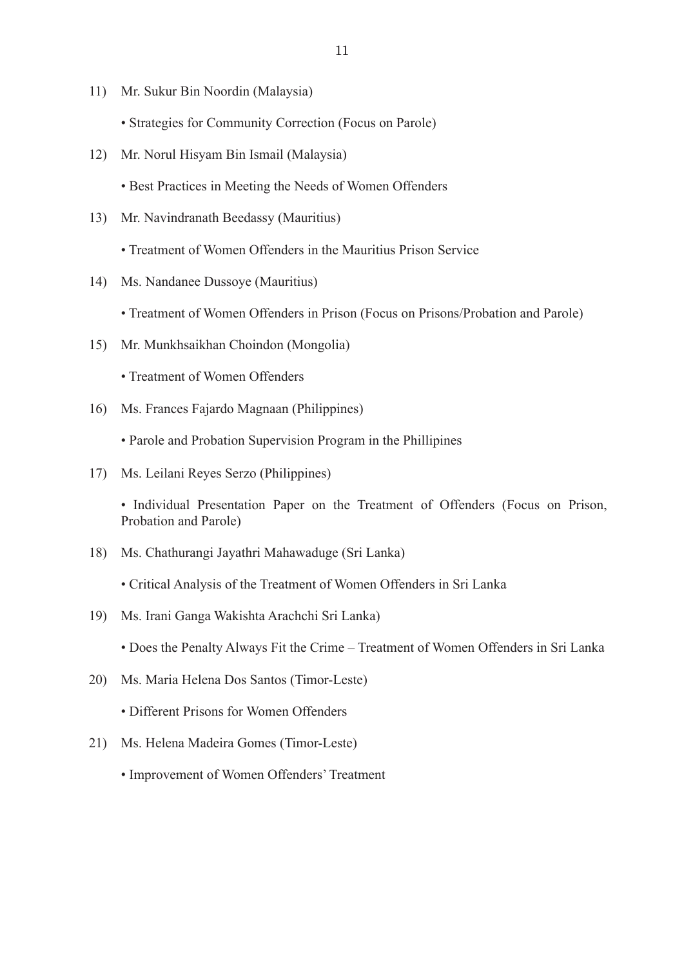- 11) Mr. Sukur Bin Noordin (Malaysia)
	- Strategies for Community Correction (Focus on Parole)
- 12) Mr. Norul Hisyam Bin Ismail (Malaysia)
	- Best Practices in Meeting the Needs of Women Offenders
- 13) Mr. Navindranath Beedassy (Mauritius)
	- Treatment of Women Offenders in the Mauritius Prison Service
- 14) Ms. Nandanee Dussoye (Mauritius)
	- Treatment of Women Offenders in Prison (Focus on Prisons/Probation and Parole)
- 15) Mr. Munkhsaikhan Choindon (Mongolia)
	- Treatment of Women Offenders
- 16) Ms. Frances Fajardo Magnaan (Philippines)
	- Parole and Probation Supervision Program in the Phillipines
- 17) Ms. Leilani Reyes Serzo (Philippines)

• Individual Presentation Paper on the Treatment of Offenders (Focus on Prison, Probation and Parole)

- 18) Ms. Chathurangi Jayathri Mahawaduge (Sri Lanka)
	- Critical Analysis of the Treatment of Women Offenders in Sri Lanka
- 19) Ms. Irani Ganga Wakishta Arachchi Sri Lanka)
	- Does the Penalty Always Fit the Crime Treatment of Women Offenders in Sri Lanka
- 20) Ms. Maria Helena Dos Santos (Timor-Leste)
	- Different Prisons for Women Offenders
- 21) Ms. Helena Madeira Gomes (Timor-Leste)
	- Improvement of Women Offenders' Treatment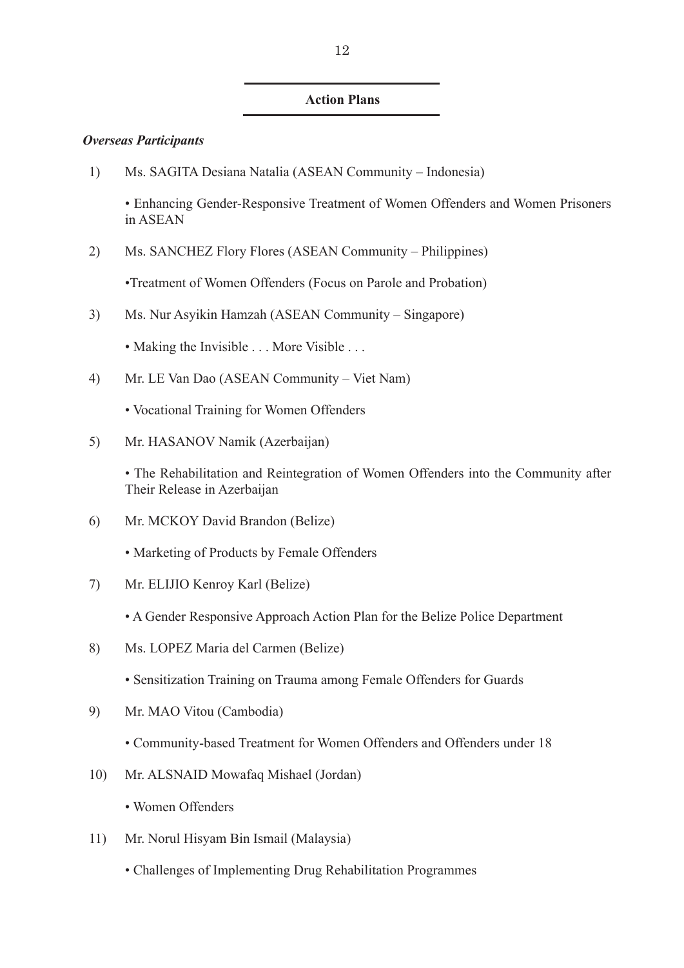## **Action Plans**

## *Overseas Participants*

1) Ms. SAGITA Desiana Natalia (ASEAN Community – Indonesia)

• Enhancing Gender-Responsive Treatment of Women Offenders and Women Prisoners in ASEAN

2) Ms. SANCHEZ Flory Flores (ASEAN Community – Philippines)

•Treatment of Women Offenders (Focus on Parole and Probation)

- 3) Ms. Nur Asyikin Hamzah (ASEAN Community Singapore)
	- Making the Invisible . . . More Visible . . .
- 4) Mr. LE Van Dao (ASEAN Community Viet Nam)
	- Vocational Training for Women Offenders
- 5) Mr. HASANOV Namik (Azerbaijan)

• The Rehabilitation and Reintegration of Women Offenders into the Community after Their Release in Azerbaijan

- 6) Mr. MCKOY David Brandon (Belize)
	- Marketing of Products by Female Offenders
- 7) Mr. ELIJIO Kenroy Karl (Belize)
	- A Gender Responsive Approach Action Plan for the Belize Police Department
- 8) Ms. LOPEZ Maria del Carmen (Belize)
	- Sensitization Training on Trauma among Female Offenders for Guards
- 9) Mr. MAO Vitou (Cambodia)
	- Community-based Treatment for Women Offenders and Offenders under 18
- 10) Mr. ALSNAID Mowafaq Mishael (Jordan)
	- Women Offenders
- 11) Mr. Norul Hisyam Bin Ismail (Malaysia)
	- Challenges of Implementing Drug Rehabilitation Programmes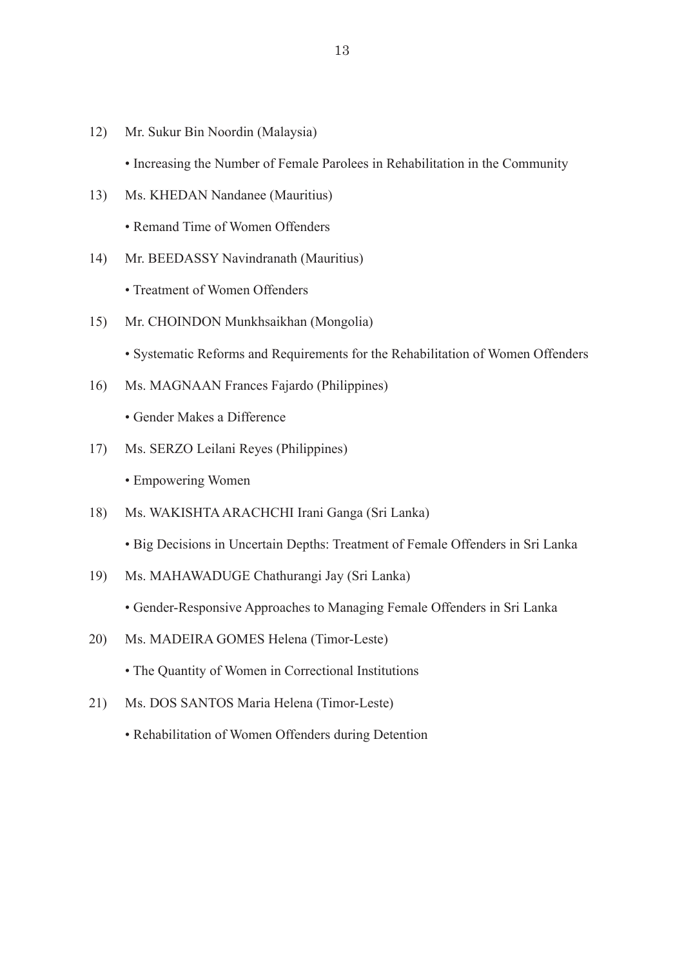12) Mr. Sukur Bin Noordin (Malaysia)

• Increasing the Number of Female Parolees in Rehabilitation in the Community

- 13) Ms. KHEDAN Nandanee (Mauritius) • Remand Time of Women Offenders
- 14) Mr. BEEDASSY Navindranath (Mauritius)

• Treatment of Women Offenders

15) Mr. CHOINDON Munkhsaikhan (Mongolia)

• Systematic Reforms and Requirements for the Rehabilitation of Women Offenders

16) Ms. MAGNAAN Frances Fajardo (Philippines)

• Gender Makes a Difference

17) Ms. SERZO Leilani Reyes (Philippines)

• Empowering Women

18) Ms. WAKISHTA ARACHCHI Irani Ganga (Sri Lanka)

• Big Decisions in Uncertain Depths: Treatment of Female Offenders in Sri Lanka

19) Ms. MAHAWADUGE Chathurangi Jay (Sri Lanka)

• Gender-Responsive Approaches to Managing Female Offenders in Sri Lanka

20) Ms. MADEIRA GOMES Helena (Timor-Leste)

• The Quantity of Women in Correctional Institutions

- 21) Ms. DOS SANTOS Maria Helena (Timor-Leste)
	- Rehabilitation of Women Offenders during Detention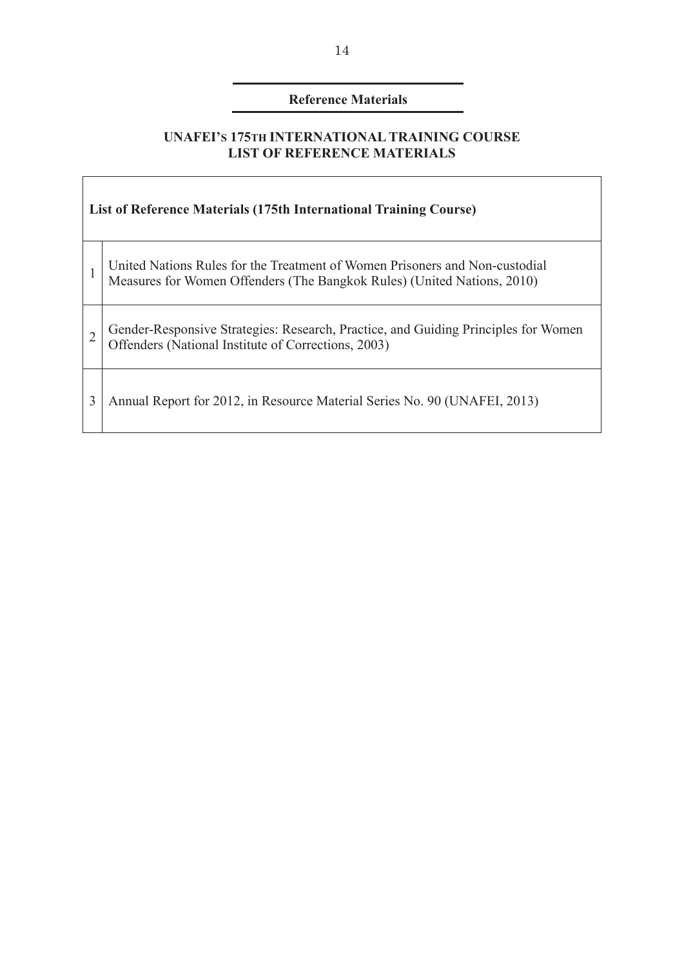# **Reference Materials**

# **UNAFEI'S 175TH INTERNATIONAL TRAINING COURSE LIST OF REFERENCE MATERIALS**

F

| <b>List of Reference Materials (175th International Training Course)</b> |                                                                                                                                                        |  |
|--------------------------------------------------------------------------|--------------------------------------------------------------------------------------------------------------------------------------------------------|--|
| 1                                                                        | United Nations Rules for the Treatment of Women Prisoners and Non-custodial<br>Measures for Women Offenders (The Bangkok Rules) (United Nations, 2010) |  |
| $\overline{2}$                                                           | Gender-Responsive Strategies: Research, Practice, and Guiding Principles for Women<br>Offenders (National Institute of Corrections, 2003)              |  |
| 3                                                                        | Annual Report for 2012, in Resource Material Series No. 90 (UNAFEI, 2013)                                                                              |  |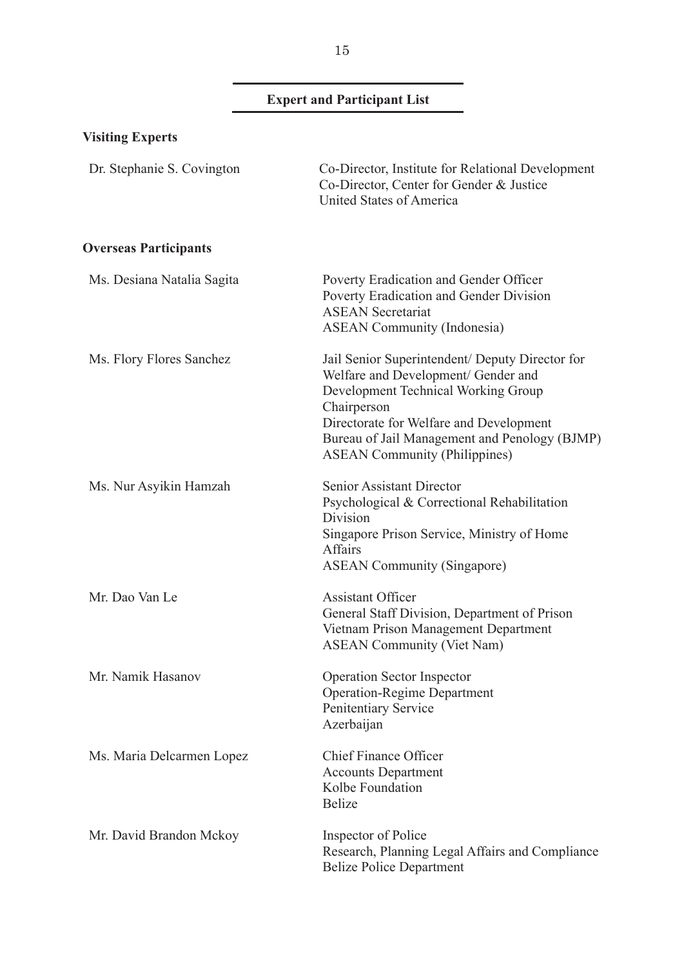# **Expert and Participant List**

| <b>Visiting Experts</b>      |                                                                                                                                                                                                                                                                                  |
|------------------------------|----------------------------------------------------------------------------------------------------------------------------------------------------------------------------------------------------------------------------------------------------------------------------------|
| Dr. Stephanie S. Covington   | Co-Director, Institute for Relational Development<br>Co-Director, Center for Gender & Justice<br>United States of America                                                                                                                                                        |
| <b>Overseas Participants</b> |                                                                                                                                                                                                                                                                                  |
| Ms. Desiana Natalia Sagita   | Poverty Eradication and Gender Officer<br>Poverty Eradication and Gender Division<br><b>ASEAN Secretariat</b><br><b>ASEAN Community (Indonesia)</b>                                                                                                                              |
| Ms. Flory Flores Sanchez     | Jail Senior Superintendent/ Deputy Director for<br>Welfare and Development/ Gender and<br>Development Technical Working Group<br>Chairperson<br>Directorate for Welfare and Development<br>Bureau of Jail Management and Penology (BJMP)<br><b>ASEAN Community (Philippines)</b> |
| Ms. Nur Asyikin Hamzah       | <b>Senior Assistant Director</b><br>Psychological & Correctional Rehabilitation<br>Division<br>Singapore Prison Service, Ministry of Home<br><b>Affairs</b><br><b>ASEAN Community (Singapore)</b>                                                                                |
| Mr. Dao Van Le               | <b>Assistant Officer</b><br>General Staff Division, Department of Prison<br>Vietnam Prison Management Department<br><b>ASEAN Community (Viet Nam)</b>                                                                                                                            |
| Mr. Namik Hasanov            | <b>Operation Sector Inspector</b><br><b>Operation-Regime Department</b><br>Penitentiary Service<br>Azerbaijan                                                                                                                                                                    |
| Ms. Maria Delcarmen Lopez    | <b>Chief Finance Officer</b><br><b>Accounts Department</b><br>Kolbe Foundation<br><b>Belize</b>                                                                                                                                                                                  |
| Mr. David Brandon Mckoy      | Inspector of Police<br>Research, Planning Legal Affairs and Compliance<br><b>Belize Police Department</b>                                                                                                                                                                        |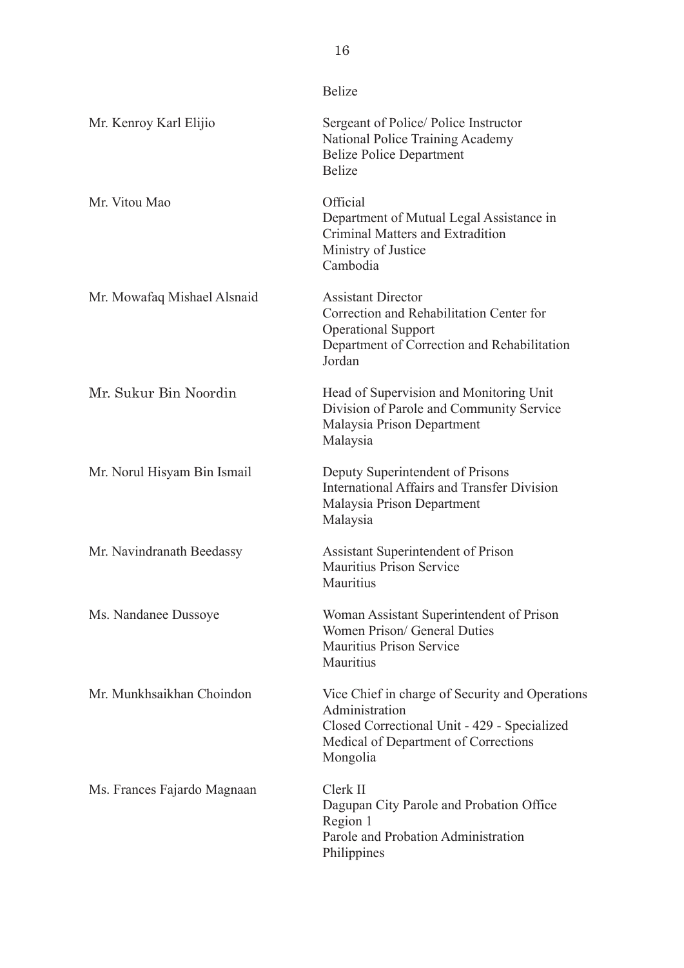|                             | <b>Belize</b>                                                                                                                                                         |
|-----------------------------|-----------------------------------------------------------------------------------------------------------------------------------------------------------------------|
| Mr. Kenroy Karl Elijio      | Sergeant of Police/Police Instructor<br>National Police Training Academy<br><b>Belize Police Department</b><br><b>Belize</b>                                          |
| Mr. Vitou Mao               | Official<br>Department of Mutual Legal Assistance in<br>Criminal Matters and Extradition<br>Ministry of Justice<br>Cambodia                                           |
| Mr. Mowafaq Mishael Alsnaid | <b>Assistant Director</b><br>Correction and Rehabilitation Center for<br><b>Operational Support</b><br>Department of Correction and Rehabilitation<br>Jordan          |
| Mr. Sukur Bin Noordin       | Head of Supervision and Monitoring Unit<br>Division of Parole and Community Service<br>Malaysia Prison Department<br>Malaysia                                         |
| Mr. Norul Hisyam Bin Ismail | Deputy Superintendent of Prisons<br><b>International Affairs and Transfer Division</b><br>Malaysia Prison Department<br>Malaysia                                      |
| Mr. Navindranath Beedassy   | Assistant Superintendent of Prison<br><b>Mauritius Prison Service</b><br>Mauritius                                                                                    |
| Ms. Nandanee Dussoye        | Woman Assistant Superintendent of Prison<br>Women Prison/ General Duties<br><b>Mauritius Prison Service</b><br>Mauritius                                              |
| Mr. Munkhsaikhan Choindon   | Vice Chief in charge of Security and Operations<br>Administration<br>Closed Correctional Unit - 429 - Specialized<br>Medical of Department of Corrections<br>Mongolia |
| Ms. Frances Fajardo Magnaan | Clerk II<br>Dagupan City Parole and Probation Office<br>Region 1<br>Parole and Probation Administration<br>Philippines                                                |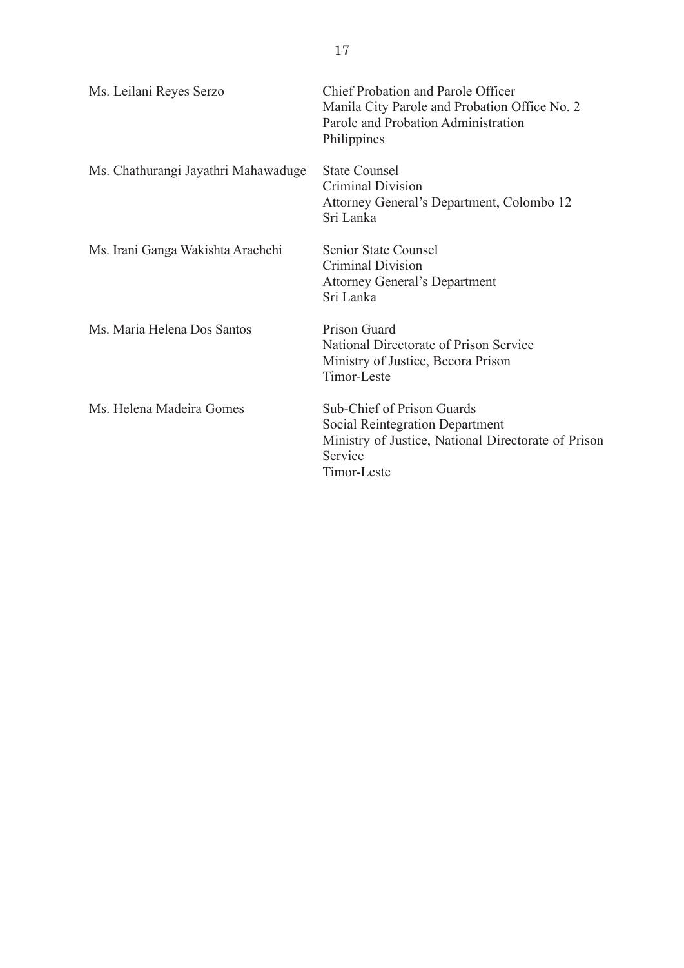| Ms. Leilani Reyes Serzo             | Chief Probation and Parole Officer<br>Manila City Parole and Probation Office No. 2<br>Parole and Probation Administration<br>Philippines             |
|-------------------------------------|-------------------------------------------------------------------------------------------------------------------------------------------------------|
| Ms. Chathurangi Jayathri Mahawaduge | <b>State Counsel</b><br><b>Criminal Division</b><br>Attorney General's Department, Colombo 12<br>Sri Lanka                                            |
| Ms. Irani Ganga Wakishta Arachchi   | <b>Senior State Counsel</b><br><b>Criminal Division</b><br><b>Attorney General's Department</b><br>Sri Lanka                                          |
| Ms. Maria Helena Dos Santos         | Prison Guard<br>National Directorate of Prison Service<br>Ministry of Justice, Becora Prison<br>Timor-Leste                                           |
| Ms. Helena Madeira Gomes            | Sub-Chief of Prison Guards<br><b>Social Reintegration Department</b><br>Ministry of Justice, National Directorate of Prison<br>Service<br>Timor-Leste |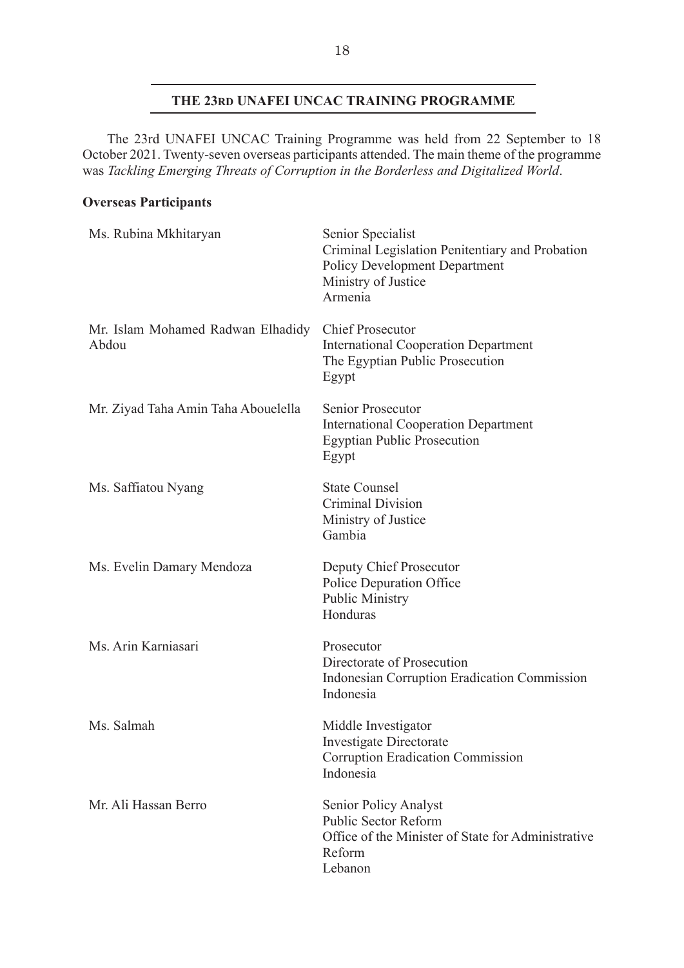# **THE 23RD UNAFEI UNCAC TRAINING PROGRAMME**

The 23rd UNAFEI UNCAC Training Programme was held from 22 September to 18 October 2021. Twenty-seven overseas participants attended. The main theme of the programme was *Tackling Emerging Threats of Corruption in the Borderless and Digitalized World*.

# **Overseas Participants**

| Ms. Rubina Mkhitaryan                      | Senior Specialist<br>Criminal Legislation Penitentiary and Probation<br><b>Policy Development Department</b><br>Ministry of Justice<br>Armenia |
|--------------------------------------------|------------------------------------------------------------------------------------------------------------------------------------------------|
| Mr. Islam Mohamed Radwan Elhadidy<br>Abdou | <b>Chief Prosecutor</b><br><b>International Cooperation Department</b><br>The Egyptian Public Prosecution<br>Egypt                             |
| Mr. Ziyad Taha Amin Taha Abouelella        | Senior Prosecutor<br><b>International Cooperation Department</b><br><b>Egyptian Public Prosecution</b><br>Egypt                                |
| Ms. Saffiatou Nyang                        | <b>State Counsel</b><br><b>Criminal Division</b><br>Ministry of Justice<br>Gambia                                                              |
| Ms. Evelin Damary Mendoza                  | Deputy Chief Prosecutor<br>Police Depuration Office<br><b>Public Ministry</b><br>Honduras                                                      |
| Ms. Arin Karniasari                        | Prosecutor<br>Directorate of Prosecution<br><b>Indonesian Corruption Eradication Commission</b><br>Indonesia                                   |
| Ms. Salmah                                 | Middle Investigator<br>Investigate Directorate<br><b>Corruption Eradication Commission</b><br>Indonesia                                        |
| Mr. Ali Hassan Berro                       | Senior Policy Analyst<br><b>Public Sector Reform</b><br>Office of the Minister of State for Administrative<br>Reform<br>Lebanon                |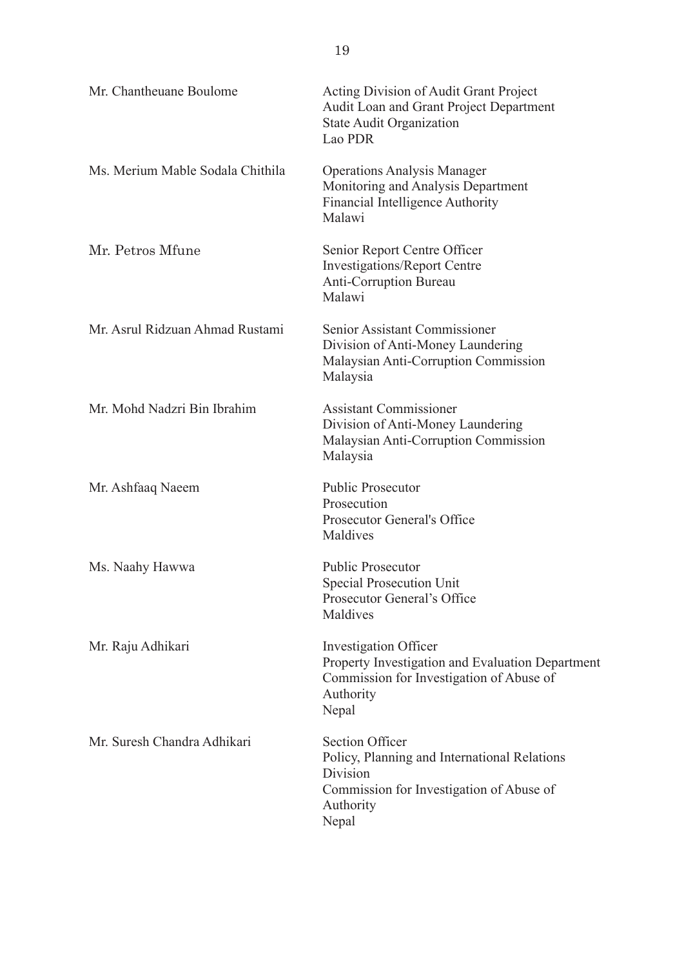| Mr. Chantheuane Boulome          | Acting Division of Audit Grant Project<br>Audit Loan and Grant Project Department<br><b>State Audit Organization</b><br>Lao PDR                      |
|----------------------------------|------------------------------------------------------------------------------------------------------------------------------------------------------|
| Ms. Merium Mable Sodala Chithila | <b>Operations Analysis Manager</b><br>Monitoring and Analysis Department<br>Financial Intelligence Authority<br>Malawi                               |
| Mr. Petros Mfune                 | Senior Report Centre Officer<br><b>Investigations/Report Centre</b><br><b>Anti-Corruption Bureau</b><br>Malawi                                       |
| Mr. Asrul Ridzuan Ahmad Rustami  | Senior Assistant Commissioner<br>Division of Anti-Money Laundering<br>Malaysian Anti-Corruption Commission<br>Malaysia                               |
| Mr. Mohd Nadzri Bin Ibrahim      | <b>Assistant Commissioner</b><br>Division of Anti-Money Laundering<br>Malaysian Anti-Corruption Commission<br>Malaysia                               |
| Mr. Ashfaaq Naeem                | <b>Public Prosecutor</b><br>Prosecution<br><b>Prosecutor General's Office</b><br>Maldives                                                            |
| Ms. Naahy Hawwa                  | <b>Public Prosecutor</b><br><b>Special Prosecution Unit</b><br>Prosecutor General's Office<br>Maldives                                               |
| Mr. Raju Adhikari                | <b>Investigation Officer</b><br>Property Investigation and Evaluation Department<br>Commission for Investigation of Abuse of<br>Authority<br>Nepal   |
| Mr. Suresh Chandra Adhikari      | <b>Section Officer</b><br>Policy, Planning and International Relations<br>Division<br>Commission for Investigation of Abuse of<br>Authority<br>Nepal |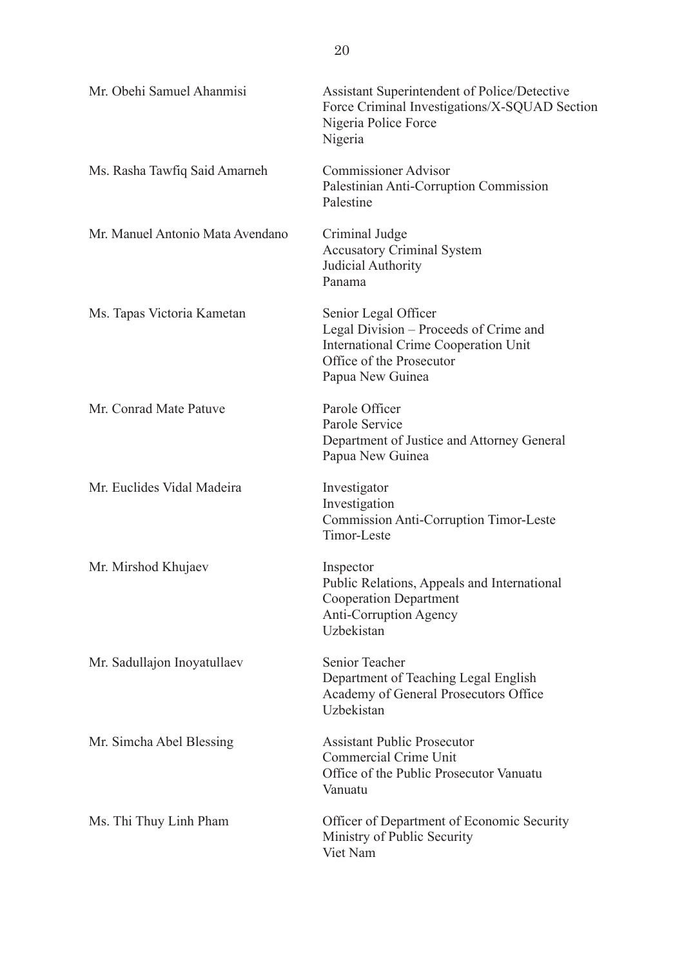| Mr. Obehi Samuel Ahanmisi        | Assistant Superintendent of Police/Detective<br>Force Criminal Investigations/X-SQUAD Section<br>Nigeria Police Force<br>Nigeria                              |
|----------------------------------|---------------------------------------------------------------------------------------------------------------------------------------------------------------|
| Ms. Rasha Tawfiq Said Amarneh    | <b>Commissioner Advisor</b><br>Palestinian Anti-Corruption Commission<br>Palestine                                                                            |
| Mr. Manuel Antonio Mata Avendano | Criminal Judge<br><b>Accusatory Criminal System</b><br>Judicial Authority<br>Panama                                                                           |
| Ms. Tapas Victoria Kametan       | Senior Legal Officer<br>Legal Division – Proceeds of Crime and<br><b>International Crime Cooperation Unit</b><br>Office of the Prosecutor<br>Papua New Guinea |
| Mr. Conrad Mate Patuve           | Parole Officer<br>Parole Service<br>Department of Justice and Attorney General<br>Papua New Guinea                                                            |
| Mr. Euclides Vidal Madeira       | Investigator<br>Investigation<br><b>Commission Anti-Corruption Timor-Leste</b><br>Timor-Leste                                                                 |
| Mr. Mirshod Khujaev              | Inspector<br>Public Relations, Appeals and International<br><b>Cooperation Department</b><br><b>Anti-Corruption Agency</b><br>Uzbekistan                      |
| Mr. Sadullajon Inoyatullaev      | Senior Teacher<br>Department of Teaching Legal English<br>Academy of General Prosecutors Office<br>Uzbekistan                                                 |
| Mr. Simcha Abel Blessing         | <b>Assistant Public Prosecutor</b><br><b>Commercial Crime Unit</b><br>Office of the Public Prosecutor Vanuatu<br>Vanuatu                                      |
| Ms. Thi Thuy Linh Pham           | Officer of Department of Economic Security<br>Ministry of Public Security<br>Viet Nam                                                                         |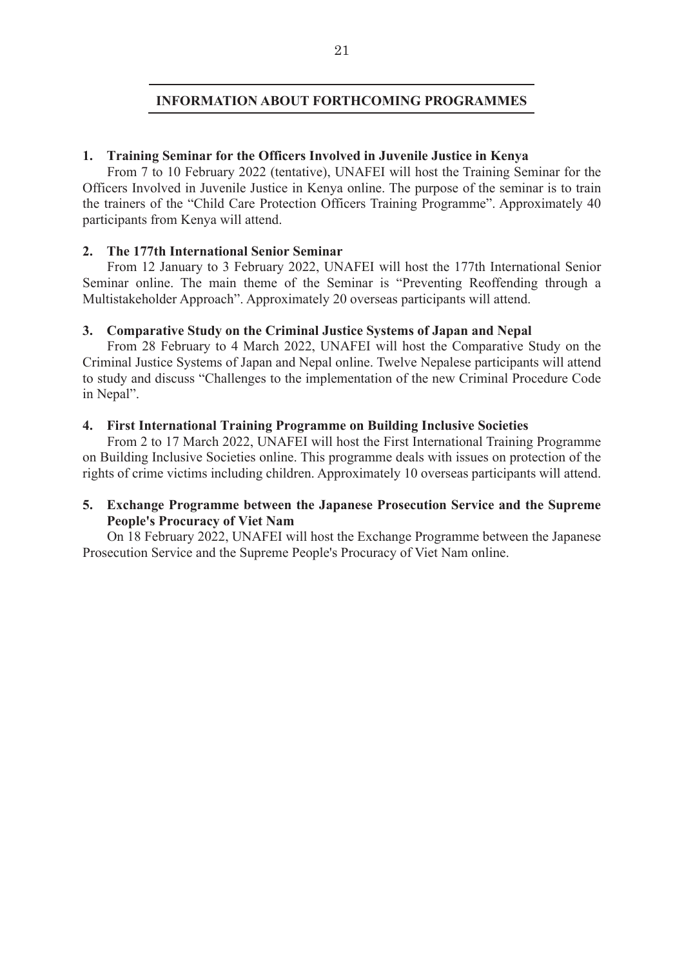## **INFORMATION ABOUT FORTHCOMING PROGRAMMES**

#### **1. Training Seminar for the Officers Involved in Juvenile Justice in Kenya**

From 7 to 10 February 2022 (tentative), UNAFEI will host the Training Seminar for the Officers Involved in Juvenile Justice in Kenya online. The purpose of the seminar is to train the trainers of the "Child Care Protection Officers Training Programme". Approximately 40 participants from Kenya will attend.

#### **2. The 177th International Senior Seminar**

From 12 January to 3 February 2022, UNAFEI will host the 177th International Senior Seminar online. The main theme of the Seminar is "Preventing Reoffending through a Multistakeholder Approach". Approximately 20 overseas participants will attend. 

## **3. Comparative Study on the Criminal Justice Systems of Japan and Nepal**

From 28 February to 4 March 2022, UNAFEI will host the Comparative Study on the Criminal Justice Systems of Japan and Nepal online. Twelve Nepalese participants will attend to study and discuss "Challenges to the implementation of the new Criminal Procedure Code in Nepal".

#### **4. First International Training Programme on Building Inclusive Societies**

From 2 to 17 March 2022, UNAFEI will host the First International Training Programme on Building Inclusive Societies online. This programme deals with issues on protection of the rights of crime victims including children. Approximately 10 overseas participants will attend.

## **5. Exchange Programme between the Japanese Prosecution Service and the Supreme People's Procuracy of Viet Nam**

On 18 February 2022, UNAFEI will host the Exchange Programme between the Japanese Prosecution Service and the Supreme People's Procuracy of Viet Nam online.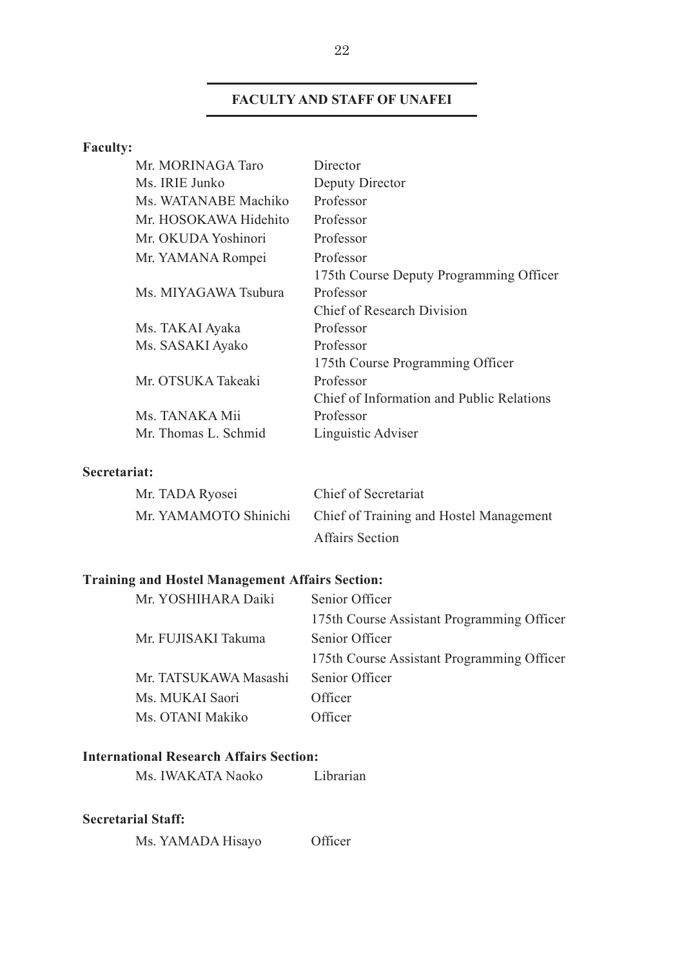# **FACULTY AND STAFF OF UNAFEI**

# **Faculty:**

| Mr. MORINAGA Taro     | Director                                  |
|-----------------------|-------------------------------------------|
| Ms. IRIE Junko        | Deputy Director                           |
| Ms. WATANABE Machiko  | Professor                                 |
| Mr. HOSOKAWA Hidehito | Professor                                 |
| Mr. OKUDA Yoshinori   | Professor                                 |
| Mr. YAMANA Rompei     | Professor                                 |
|                       | 175th Course Deputy Programming Officer   |
| Ms. MIYAGAWA Tsubura  | Professor                                 |
|                       | Chief of Research Division                |
| Ms. TAKAI Ayaka       | Professor                                 |
| Ms. SASAKI Ayako      | Professor                                 |
|                       | 175th Course Programming Officer          |
| Mr. OTSUKA Takeaki    | Professor                                 |
|                       | Chief of Information and Public Relations |
| Ms. TANAKA Mii        | Professor                                 |
| Mr. Thomas L. Schmid  | Linguistic Adviser                        |
|                       |                                           |

# **Secretariat:**

| Mr. TADA Ryosei       | Chief of Secretariat                    |
|-----------------------|-----------------------------------------|
| Mr. YAMAMOTO Shinichi | Chief of Training and Hostel Management |
|                       | <b>Affairs Section</b>                  |

# **Training and Hostel Management Affairs Section:**

| Mr. YOSHIHARA Daiki   | Senior Officer                             |
|-----------------------|--------------------------------------------|
|                       | 175th Course Assistant Programming Officer |
| Mr. FUJISAKI Takuma   | Senior Officer                             |
|                       | 175th Course Assistant Programming Officer |
| Mr. TATSUKAWA Masashi | Senior Officer                             |
| Ms. MUKAI Saori       | Officer                                    |
| Ms. OTANI Makiko      | Officer                                    |

# **International Research Affairs Section:**

Ms. IWAKATA Naoko Librarian

## **Secretarial Staff:**

Ms. YAMADA Hisayo Officer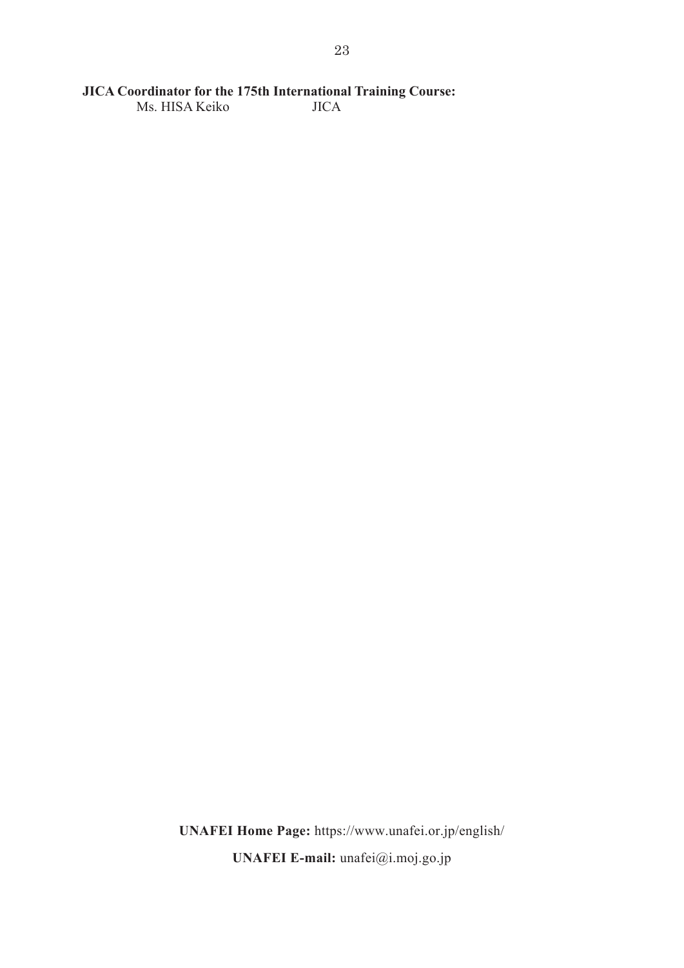# **JICA Coordinator for the 175th International Training Course:**

Ms. HISA Keiko

**UNAFEI Home Page:** https://www.unafei.or.jp/english/ **UNAFEI E-mail:** unafei@i.moj.go.jp